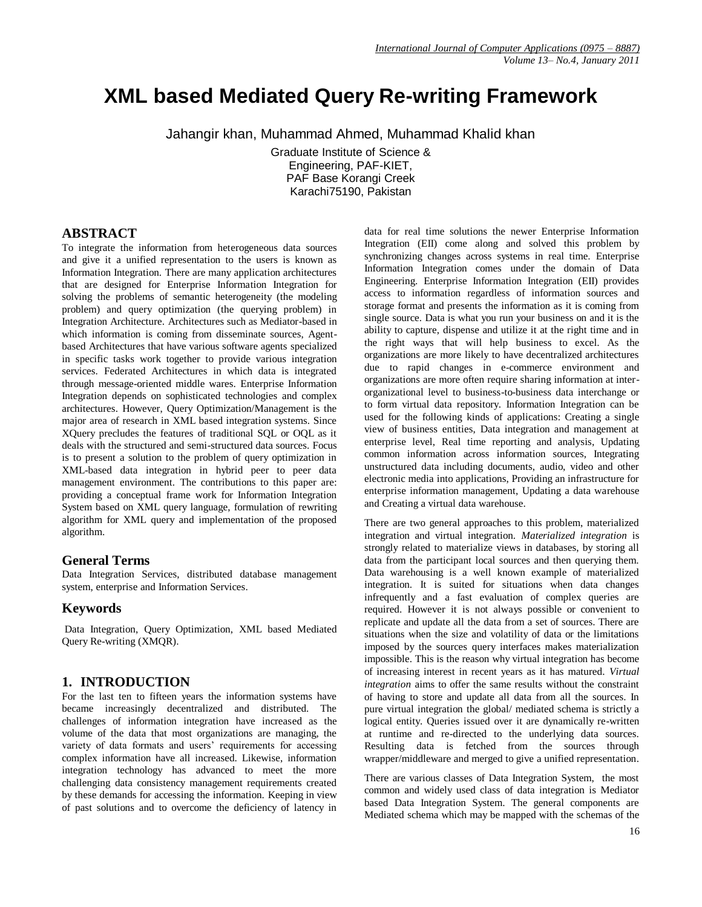# **XML based Mediated Query Re-writing Framework**

Jahangir khan, Muhammad Ahmed, Muhammad Khalid khan

Graduate Institute of Science & Engineering, PAF-KIET, PAF Base Korangi Creek Karachi75190, Pakistan

## **ABSTRACT**

To integrate the information from heterogeneous data sources and give it a unified representation to the users is known as Information Integration. There are many application architectures that are designed for Enterprise Information Integration for solving the problems of semantic heterogeneity (the modeling problem) and query optimization (the querying problem) in Integration Architecture. Architectures such as Mediator-based in which information is coming from disseminate sources, Agentbased Architectures that have various software agents specialized in specific tasks work together to provide various integration services. Federated Architectures in which data is integrated through message-oriented middle wares. Enterprise Information Integration depends on sophisticated technologies and complex architectures. However, Query Optimization/Management is the major area of research in XML based integration systems. Since XQuery precludes the features of traditional SQL or OQL as it deals with the structured and semi-structured data sources. Focus is to present a solution to the problem of query optimization in XML-based data integration in hybrid peer to peer data management environment. The contributions to this paper are: providing a conceptual frame work for Information Integration System based on XML query language, formulation of rewriting algorithm for XML query and implementation of the proposed algorithm.

## **General Terms**

Data Integration Services, distributed database management system, enterprise and Information Services.

## **Keywords**

Data Integration, Query Optimization, XML based Mediated Query Re-writing (XMQR).

# **1. INTRODUCTION**

For the last ten to fifteen years the information systems have became increasingly decentralized and distributed. The challenges of information integration have increased as the volume of the data that most organizations are managing, the variety of data formats and users' requirements for accessing complex information have all increased. Likewise, information integration technology has advanced to meet the more challenging data consistency management requirements created by these demands for accessing the information. Keeping in view of past solutions and to overcome the deficiency of latency in

data for real time solutions the newer Enterprise Information Integration (EII) come along and solved this problem by synchronizing changes across systems in real time. Enterprise Information Integration comes under the domain of Data Engineering. Enterprise Information Integration (EII) provides access to information regardless of information sources and storage format and presents the information as it is coming from single source. Data is what you run your business on and it is the ability to capture, dispense and utilize it at the right time and in the right ways that will help business to excel. As the organizations are more likely to have decentralized architectures due to rapid changes in e-commerce environment and organizations are more often require sharing information at interorganizational level to business-to-business data interchange or to form virtual data repository. Information Integration can be used for the following kinds of applications: Creating a single view of business entities, Data integration and management at enterprise level, Real time reporting and analysis, Updating common information across information sources, Integrating unstructured data including documents, audio, video and other electronic media into applications, Providing an infrastructure for enterprise information management, Updating a data warehouse and Creating a virtual data warehouse.

There are two general approaches to this problem, materialized integration and virtual integration. *Materialized integration* is strongly related to materialize views in databases, by storing all data from the participant local sources and then querying them. Data warehousing is a well known example of materialized integration. It is suited for situations when data changes infrequently and a fast evaluation of complex queries are required. However it is not always possible or convenient to replicate and update all the data from a set of sources. There are situations when the size and volatility of data or the limitations imposed by the sources query interfaces makes materialization impossible. This is the reason why virtual integration has become of increasing interest in recent years as it has matured. *Virtual integration* aims to offer the same results without the constraint of having to store and update all data from all the sources. In pure virtual integration the global/ mediated schema is strictly a logical entity. Queries issued over it are dynamically re-written at runtime and re-directed to the underlying data sources. Resulting data is fetched from the sources through wrapper/middleware and merged to give a unified representation.

There are various classes of Data Integration System, the most common and widely used class of data integration is Mediator based Data Integration System. The general components are Mediated schema which may be mapped with the schemas of the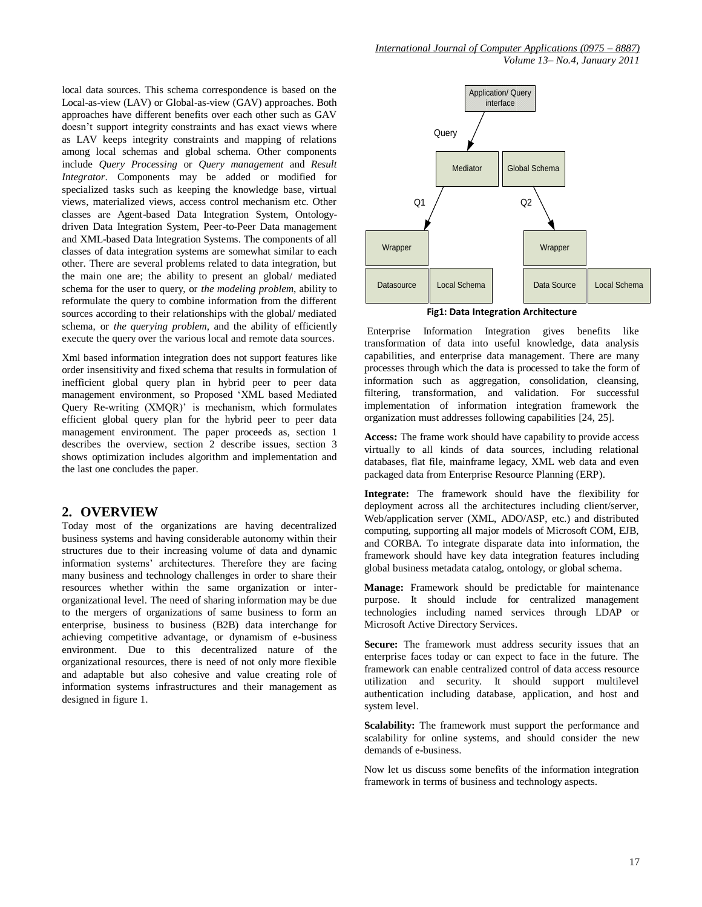local data sources. This schema correspondence is based on the Local-as-view (LAV) or Global-as-view (GAV) approaches. Both approaches have different benefits over each other such as GAV doesn't support integrity constraints and has exact views where as LAV keeps integrity constraints and mapping of relations among local schemas and global schema. Other components include *Query Processing* or *Query management* and *Result Integrator*. Components may be added or modified for specialized tasks such as keeping the knowledge base, virtual views, materialized views, access control mechanism etc. Other classes are Agent-based Data Integration System, Ontologydriven Data Integration System, Peer-to-Peer Data management and XML-based Data Integration Systems. The components of all classes of data integration systems are somewhat similar to each other. There are several problems related to data integration, but the main one are; the ability to present an global/ mediated schema for the user to query, or *the modeling problem*, ability to reformulate the query to combine information from the different sources according to their relationships with the global/ mediated schema, or *the querying problem*, and the ability of efficiently execute the query over the various local and remote data sources.

Xml based information integration does not support features like order insensitivity and fixed schema that results in formulation of inefficient global query plan in hybrid peer to peer data management environment, so Proposed "XML based Mediated Query Re-writing (XMQR)' is mechanism, which formulates efficient global query plan for the hybrid peer to peer data management environment. The paper proceeds as, section 1 describes the overview, section 2 describe issues, section 3 shows optimization includes algorithm and implementation and the last one concludes the paper.

### **2. OVERVIEW**

Today most of the organizations are having decentralized business systems and having considerable autonomy within their structures due to their increasing volume of data and dynamic information systems" architectures. Therefore they are facing many business and technology challenges in order to share their resources whether within the same organization or interorganizational level. The need of sharing information may be due to the mergers of organizations of same business to form an enterprise, business to business (B2B) data interchange for achieving competitive advantage, or dynamism of e-business environment. Due to this decentralized nature of the organizational resources, there is need of not only more flexible and adaptable but also cohesive and value creating role of information systems infrastructures and their management as designed in figure 1.



**Fig1: Data Integration Architecture**

Enterprise Information Integration gives benefits like transformation of data into useful knowledge, data analysis capabilities, and enterprise data management. There are many processes through which the data is processed to take the form of information such as aggregation, consolidation, cleansing, filtering, transformation, and validation. For successful implementation of information integration framework the organization must addresses following capabilities [24, 25].

**Access:** The frame work should have capability to provide access virtually to all kinds of data sources, including relational databases, flat file, mainframe legacy, XML web data and even packaged data from Enterprise Resource Planning (ERP).

**Integrate:** The framework should have the flexibility for deployment across all the architectures including client/server, Web/application server (XML, ADO/ASP, etc.) and distributed computing, supporting all major models of Microsoft COM, EJB, and CORBA. To integrate disparate data into information, the framework should have key data integration features including global business metadata catalog, ontology, or global schema.

**Manage:** Framework should be predictable for maintenance purpose. It should include for centralized management technologies including named services through LDAP or Microsoft Active Directory Services.

Secure: The framework must address security issues that an enterprise faces today or can expect to face in the future. The framework can enable centralized control of data access resource utilization and security. It should support multilevel authentication including database, application, and host and system level.

**Scalability:** The framework must support the performance and scalability for online systems, and should consider the new demands of e-business.

Now let us discuss some benefits of the information integration framework in terms of business and technology aspects.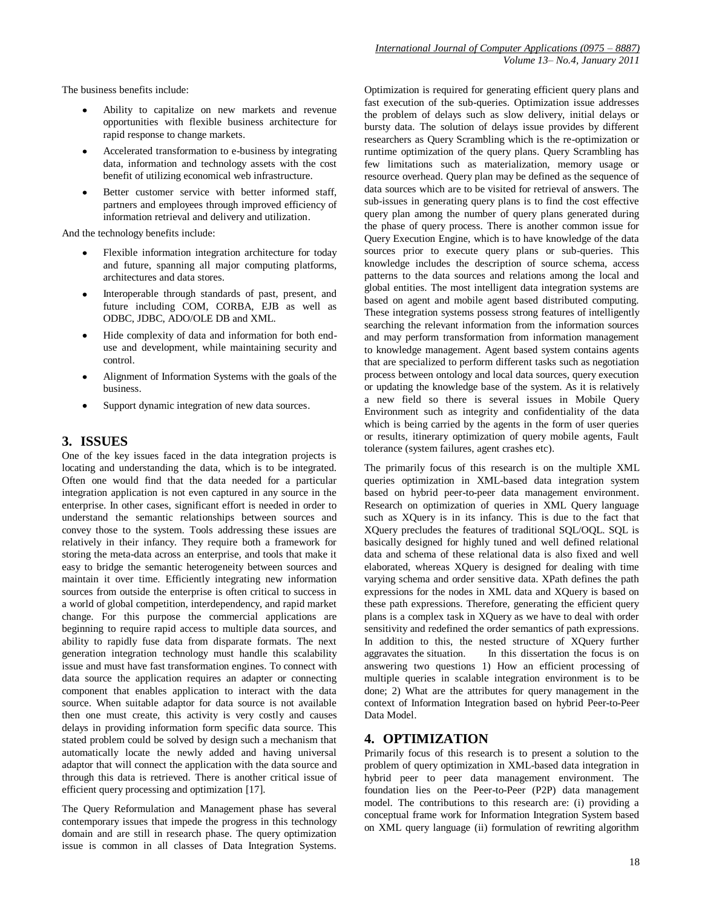The business benefits include:

- Ability to capitalize on new markets and revenue opportunities with flexible business architecture for rapid response to change markets.
- Accelerated transformation to e-business by integrating data, information and technology assets with the cost benefit of utilizing economical web infrastructure.
- Better customer service with better informed staff, partners and employees through improved efficiency of information retrieval and delivery and utilization.

And the technology benefits include:

- Flexible information integration architecture for today and future, spanning all major computing platforms, architectures and data stores.
- Interoperable through standards of past, present, and future including COM, CORBA, EJB as well as ODBC, JDBC, ADO/OLE DB and XML.
- Hide complexity of data and information for both enduse and development, while maintaining security and control.
- Alignment of Information Systems with the goals of the business.
- Support dynamic integration of new data sources.

## **3. ISSUES**

One of the key issues faced in the data integration projects is locating and understanding the data, which is to be integrated. Often one would find that the data needed for a particular integration application is not even captured in any source in the enterprise. In other cases, significant effort is needed in order to understand the semantic relationships between sources and convey those to the system. Tools addressing these issues are relatively in their infancy. They require both a framework for storing the meta-data across an enterprise, and tools that make it easy to bridge the semantic heterogeneity between sources and maintain it over time. Efficiently integrating new information sources from outside the enterprise is often critical to success in a world of global competition, interdependency, and rapid market change. For this purpose the commercial applications are beginning to require rapid access to multiple data sources, and ability to rapidly fuse data from disparate formats. The next generation integration technology must handle this scalability issue and must have fast transformation engines. To connect with data source the application requires an adapter or connecting component that enables application to interact with the data source. When suitable adaptor for data source is not available then one must create, this activity is very costly and causes delays in providing information form specific data source. This stated problem could be solved by design such a mechanism that automatically locate the newly added and having universal adaptor that will connect the application with the data source and through this data is retrieved. There is another critical issue of efficient query processing and optimization [17].

The Query Reformulation and Management phase has several contemporary issues that impede the progress in this technology domain and are still in research phase. The query optimization issue is common in all classes of Data Integration Systems.

Optimization is required for generating efficient query plans and fast execution of the sub-queries. Optimization issue addresses the problem of delays such as slow delivery, initial delays or bursty data. The solution of delays issue provides by different researchers as Query Scrambling which is the re-optimization or runtime optimization of the query plans. Query Scrambling has few limitations such as materialization, memory usage or resource overhead. Query plan may be defined as the sequence of data sources which are to be visited for retrieval of answers. The sub-issues in generating query plans is to find the cost effective query plan among the number of query plans generated during the phase of query process. There is another common issue for Query Execution Engine, which is to have knowledge of the data sources prior to execute query plans or sub-queries. This knowledge includes the description of source schema, access patterns to the data sources and relations among the local and global entities. The most intelligent data integration systems are based on agent and mobile agent based distributed computing. These integration systems possess strong features of intelligently searching the relevant information from the information sources and may perform transformation from information management to knowledge management. Agent based system contains agents that are specialized to perform different tasks such as negotiation process between ontology and local data sources, query execution or updating the knowledge base of the system. As it is relatively a new field so there is several issues in Mobile Query Environment such as integrity and confidentiality of the data which is being carried by the agents in the form of user queries or results, itinerary optimization of query mobile agents, Fault tolerance (system failures, agent crashes etc).

The primarily focus of this research is on the multiple XML queries optimization in XML-based data integration system based on hybrid peer-to-peer data management environment. Research on optimization of queries in XML Query language such as XQuery is in its infancy. This is due to the fact that XQuery precludes the features of traditional SQL/OQL. SQL is basically designed for highly tuned and well defined relational data and schema of these relational data is also fixed and well elaborated, whereas XQuery is designed for dealing with time varying schema and order sensitive data. XPath defines the path expressions for the nodes in XML data and XQuery is based on these path expressions. Therefore, generating the efficient query plans is a complex task in XQuery as we have to deal with order sensitivity and redefined the order semantics of path expressions. In addition to this, the nested structure of XQuery further aggravates the situation. In this dissertation the focus is on answering two questions 1) How an efficient processing of multiple queries in scalable integration environment is to be done; 2) What are the attributes for query management in the context of Information Integration based on hybrid Peer-to-Peer Data Model.

## **4. OPTIMIZATION**

Primarily focus of this research is to present a solution to the problem of query optimization in XML-based data integration in hybrid peer to peer data management environment. The foundation lies on the Peer-to-Peer (P2P) data management model. The contributions to this research are: (i) providing a conceptual frame work for Information Integration System based on XML query language (ii) formulation of rewriting algorithm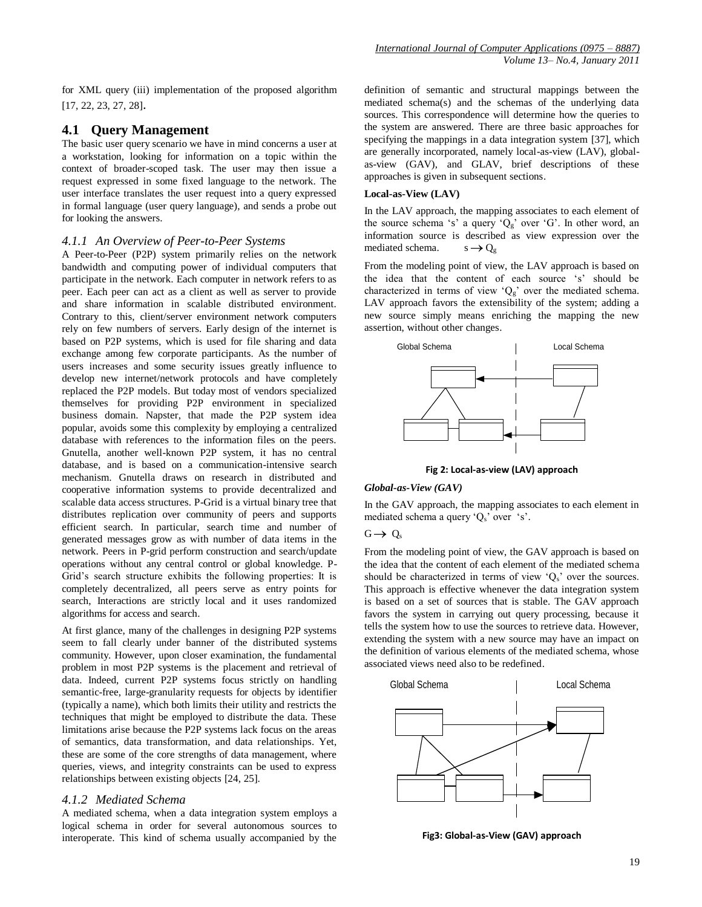for XML query (iii) implementation of the proposed algorithm [17, 22, 23, 27, 28].

#### **4.1 Query Management**

The basic user query scenario we have in mind concerns a user at a workstation, looking for information on a topic within the context of broader-scoped task. The user may then issue a request expressed in some fixed language to the network. The user interface translates the user request into a query expressed in formal language (user query language), and sends a probe out for looking the answers.

#### *4.1.1 An Overview of Peer-to-Peer Systems*

A Peer-to-Peer (P2P) system primarily relies on the network bandwidth and computing power of individual computers that participate in the network. Each computer in network refers to as peer. Each peer can act as a client as well as server to provide and share information in scalable distributed environment. Contrary to this, client/server environment network computers rely on few numbers of servers. Early design of the internet is based on P2P systems, which is used for file sharing and data exchange among few corporate participants. As the number of users increases and some security issues greatly influence to develop new internet/network protocols and have completely replaced the P2P models. But today most of vendors specialized themselves for providing P2P environment in specialized business domain. Napster, that made the P2P system idea popular, avoids some this complexity by employing a centralized database with references to the information files on the peers. Gnutella, another well-known P2P system, it has no central database, and is based on a communication-intensive search mechanism. Gnutella draws on research in distributed and cooperative information systems to provide decentralized and scalable data access structures. P-Grid is a virtual binary tree that distributes replication over community of peers and supports efficient search. In particular, search time and number of generated messages grow as with number of data items in the network. Peers in P-grid perform construction and search/update operations without any central control or global knowledge. P-Grid"s search structure exhibits the following properties: It is completely decentralized, all peers serve as entry points for search, Interactions are strictly local and it uses randomized algorithms for access and search.

At first glance, many of the challenges in designing P2P systems seem to fall clearly under banner of the distributed systems community. However, upon closer examination, the fundamental problem in most P2P systems is the placement and retrieval of data. Indeed, current P2P systems focus strictly on handling semantic-free, large-granularity requests for objects by identifier (typically a name), which both limits their utility and restricts the techniques that might be employed to distribute the data. These limitations arise because the P2P systems lack focus on the areas of semantics, data transformation, and data relationships. Yet, these are some of the core strengths of data management, where queries, views, and integrity constraints can be used to express relationships between existing objects [24, 25].

#### *4.1.2 Mediated Schema*

A mediated schema, when a data integration system employs a logical schema in order for several autonomous sources to interoperate. This kind of schema usually accompanied by the

definition of semantic and structural mappings between the mediated schema(s) and the schemas of the underlying data sources. This correspondence will determine how the queries to the system are answered. There are three basic approaches for specifying the mappings in a data integration system [37], which are generally incorporated, namely local-as-view (LAV), globalas-view (GAV), and GLAV, brief descriptions of these approaches is given in subsequent sections.

#### **Local-as-View (LAV)**

In the LAV approach, the mapping associates to each element of the source schema 's' a query ' $Q_g$ ' over 'G'. In other word, an information source is described as view expression over the mediated schema.  $s \rightarrow Q_{\alpha}$ 

From the modeling point of view, the LAV approach is based on the idea that the content of each source 's' should be characterized in terms of view ' $Q_g$ ' over the mediated schema. LAV approach favors the extensibility of the system; adding a new source simply means enriching the mapping the new assertion, without other changes.



**Fig 2: Local-as-view (LAV) approach**

#### *Global-as-View (GAV)*

In the GAV approach, the mapping associates to each element in mediated schema a query  $Q_s$  over 's'.

 $G \rightarrow Q_s$ 

From the modeling point of view, the GAV approach is based on the idea that the content of each element of the mediated schema should be characterized in terms of view  $Q_s$  over the sources. This approach is effective whenever the data integration system is based on a set of sources that is stable. The GAV approach favors the system in carrying out query processing, because it tells the system how to use the sources to retrieve data. However, extending the system with a new source may have an impact on the definition of various elements of the mediated schema, whose associated views need also to be redefined.



**Fig3: Global-as-View (GAV) approach**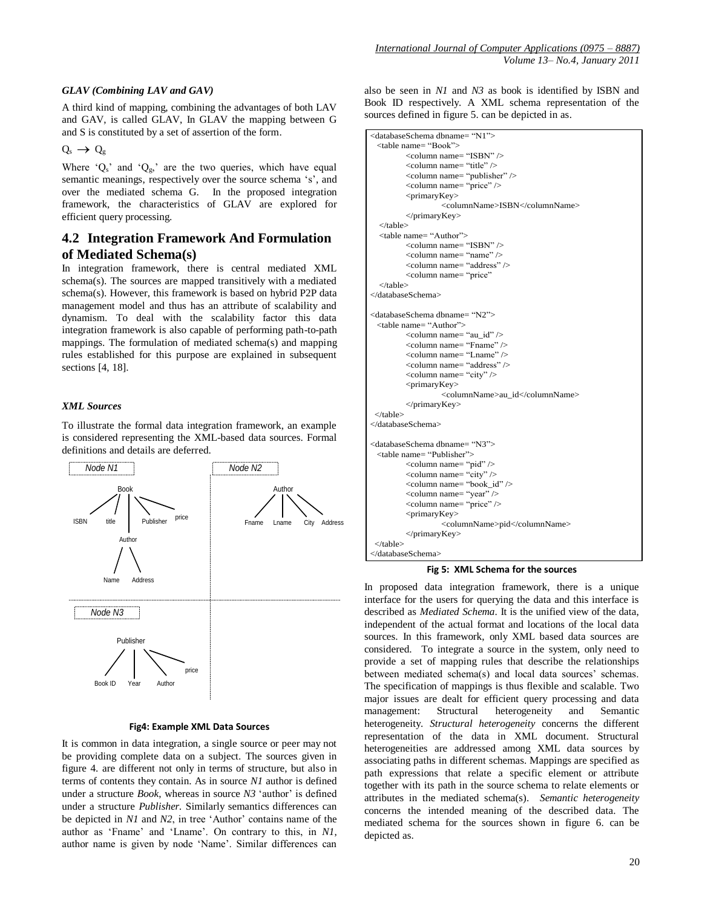#### *GLAV (Combining LAV and GAV)*

A third kind of mapping, combining the advantages of both LAV and GAV, is called GLAV, In GLAV the mapping between G and S is constituted by a set of assertion of the form.

$$
Q_s \to Q_g
$$

Where  $Q_s$  and  $Q_g$ , are the two queries, which have equal semantic meanings, respectively over the source schema 's', and over the mediated schema G. In the proposed integration framework, the characteristics of GLAV are explored for efficient query processing.

# **4.2 Integration Framework And Formulation of Mediated Schema(s)**

In integration framework, there is central mediated XML schema(s). The sources are mapped transitively with a mediated schema(s). However, this framework is based on hybrid P2P data management model and thus has an attribute of scalability and dynamism. To deal with the scalability factor this data integration framework is also capable of performing path-to-path mappings. The formulation of mediated schema(s) and mapping rules established for this purpose are explained in subsequent sections [4, 18].

#### *XML Sources*

To illustrate the formal data integration framework, an example is considered representing the XML-based data sources. Formal definitions and details are deferred.



#### **Fig4: Example XML Data Sources**

It is common in data integration, a single source or peer may not be providing complete data on a subject. The sources given in figure 4. are different not only in terms of structure, but also in terms of contents they contain. As in source *N1* author is defined under a structure *Book*, whereas in source *N3* 'author' is defined under a structure *Publisher.* Similarly semantics differences can be depicted in *N1* and *N2*, in tree 'Author' contains name of the author as 'Fname' and 'Lname'. On contrary to this, in N1, author name is given by node "Name". Similar differences can

also be seen in *N1* and *N3* as book is identified by ISBN and Book ID respectively. A XML schema representation of the sources defined in figure 5. can be depicted in as.

```
<databaseSchema dbname= "N1"> <table name= "Book"> <column name= "ISBN" /> <column name= "title" /> <column name= "publisher" /> \lecolumn name= "price" \ge<primaryKey> <columnName>ISBN</columnName> </primaryKey> </table> <table name= "Author"> <column name= "ISBN" /> <column name= "name" /> <column name= "address" /> <column name= "price" </table> </databaseSchema> <databaseSchema dbname= "N2"> <table name= "Author"> <column name= "au_id" /> <column name= "Fname" /> <column name= "Lname" /> <column name= "address" /> <column name= "city" /> <primaryKey> <columnName>au_id</columnName> </primaryKey> </table> </databaseSchema> <databaseSchema dbname= "N3"> <table name= "Publisher"> <column name= "pid" /> <column name= "city" />
        <column name= "book_id" /> <column name= "year" /> <column name= "price" /> <primaryKey> <columnName>pid</columnName> </primaryKey> </table> </databaseSchema>
```
**Fig 5: XML Schema for the sources**

In proposed data integration framework, there is a unique interface for the users for querying the data and this interface is described as *Mediated Schema*. It is the unified view of the data, independent of the actual format and locations of the local data sources. In this framework, only XML based data sources are considered. To integrate a source in the system, only need to provide a set of mapping rules that describe the relationships between mediated schema(s) and local data sources' schemas. The specification of mappings is thus flexible and scalable. Two major issues are dealt for efficient query processing and data management: Structural heterogeneity and Semantic heterogeneity. *Structural heterogeneity* concerns the different representation of the data in XML document. Structural heterogeneities are addressed among XML data sources by associating paths in different schemas. Mappings are specified as path expressions that relate a specific element or attribute together with its path in the source schema to relate elements or attributes in the mediated schema(s). *Semantic heterogeneity* concerns the intended meaning of the described data. The mediated schema for the sources shown in figure 6. can be depicted as.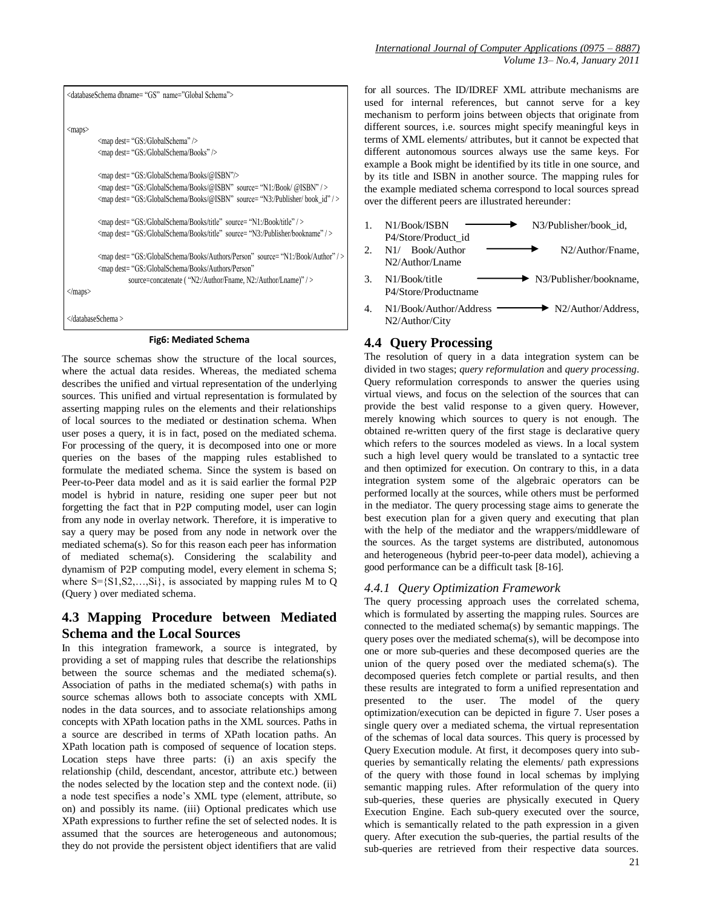```
<databaseSchema dbname= "GS" name="Global Schema"> <maps>
          <map dest= "GS:/GlobalSchema" /> <map dest= "GS:/GlobalSchema/Books" /> <map dest= "GS:/GlobalSchema/Books/@ISBN"/> <map dest= "GS:/GlobalSchema/Books/@ISBN" source= "N1:/Book/ @ISBN" / > <map dest= "GS:/GlobalSchema/Books/@ISBN" source= "N3:/Publisher/ book_id" / > <map dest= "GS:/GlobalSchema/Books/title" source= "N1:/Book/title" / > <map dest= "GS:/GlobalSchema/Books/title" source= "N3:/Publisher/bookname" / > <map dest= "GS:/GlobalSchema/Books/Authors/Person" source= "N1:/Book/Author" / >
         <map dest= "GS:/GlobalSchema/Books/Authors/Person" source=concatenate ( "N2:/Author/Fname, N2:/Author/Lname)" />
</maps> </databaseSchema >
```
#### **Fig6: Mediated Schema**

The source schemas show the structure of the local sources, where the actual data resides. Whereas, the mediated schema describes the unified and virtual representation of the underlying sources. This unified and virtual representation is formulated by asserting mapping rules on the elements and their relationships of local sources to the mediated or destination schema. When user poses a query, it is in fact, posed on the mediated schema. For processing of the query, it is decomposed into one or more queries on the bases of the mapping rules established to formulate the mediated schema. Since the system is based on Peer-to-Peer data model and as it is said earlier the formal P2P model is hybrid in nature, residing one super peer but not forgetting the fact that in P2P computing model, user can login from any node in overlay network. Therefore, it is imperative to say a query may be posed from any node in network over the mediated schema(s). So for this reason each peer has information of mediated schema(s). Considering the scalability and dynamism of P2P computing model, every element in schema S; where  $S = \{S_1, S_2, \ldots, S_i\}$ , is associated by mapping rules M to Q (Query ) over mediated schema.

# **4.3 Mapping Procedure between Mediated Schema and the Local Sources**

In this integration framework, a source is integrated, by providing a set of mapping rules that describe the relationships between the source schemas and the mediated schema(s). Association of paths in the mediated schema(s) with paths in source schemas allows both to associate concepts with XML nodes in the data sources, and to associate relationships among concepts with XPath location paths in the XML sources. Paths in a source are described in terms of XPath location paths. An XPath location path is composed of sequence of location steps. Location steps have three parts: (i) an axis specify the relationship (child, descendant, ancestor, attribute etc.) between the nodes selected by the location step and the context node. (ii) a node test specifies a node"s XML type (element, attribute, so on) and possibly its name. (iii) Optional predicates which use XPath expressions to further refine the set of selected nodes. It is assumed that the sources are heterogeneous and autonomous; they do not provide the persistent object identifiers that are valid

for all sources. The ID/IDREF XML attribute mechanisms are used for internal references, but cannot serve for a key mechanism to perform joins between objects that originate from different sources, i.e. sources might specify meaningful keys in terms of XML elements/ attributes, but it cannot be expected that different autonomous sources always use the same keys. For example a Book might be identified by its title in one source, and by its title and ISBN in another source. The mapping rules for the example mediated schema correspond to local sources spread over the different peers are illustrated hereunder:

1. N1/Book/ISBN  $\longrightarrow$  N3/Publisher/book id, P4/Store/Product\_id 2. N1/ Book/Author  $\longrightarrow N2/Author/Fname$ , N2/Author/Lname 3.  $N1/Book/title$   $N3/Publisher/bookname,$ P4/Store/Productname 4.  $N1/Book/Author/Address$   $N2/Author/Address$ , N2/Author/City

## **4.4 Query Processing**

The resolution of query in a data integration system can be divided in two stages; *query reformulation* and *query processing*. Query reformulation corresponds to answer the queries using virtual views, and focus on the selection of the sources that can provide the best valid response to a given query. However, merely knowing which sources to query is not enough. The obtained re-written query of the first stage is declarative query which refers to the sources modeled as views. In a local system such a high level query would be translated to a syntactic tree and then optimized for execution. On contrary to this, in a data integration system some of the algebraic operators can be performed locally at the sources, while others must be performed in the mediator. The query processing stage aims to generate the best execution plan for a given query and executing that plan with the help of the mediator and the wrappers/middleware of the sources. As the target systems are distributed, autonomous and heterogeneous (hybrid peer-to-peer data model), achieving a good performance can be a difficult task [8-16].

## *4.4.1 Query Optimization Framework*

The query processing approach uses the correlated schema, which is formulated by asserting the mapping rules. Sources are connected to the mediated schema(s) by semantic mappings. The query poses over the mediated schema(s), will be decompose into one or more sub-queries and these decomposed queries are the union of the query posed over the mediated schema(s). The decomposed queries fetch complete or partial results, and then these results are integrated to form a unified representation and presented to the user. The model of the query optimization/execution can be depicted in figure 7. User poses a single query over a mediated schema, the virtual representation of the schemas of local data sources. This query is processed by Query Execution module. At first, it decomposes query into subqueries by semantically relating the elements/ path expressions of the query with those found in local schemas by implying semantic mapping rules. After reformulation of the query into sub-queries, these queries are physically executed in Query Execution Engine. Each sub-query executed over the source, which is semantically related to the path expression in a given query. After execution the sub-queries, the partial results of the sub-queries are retrieved from their respective data sources.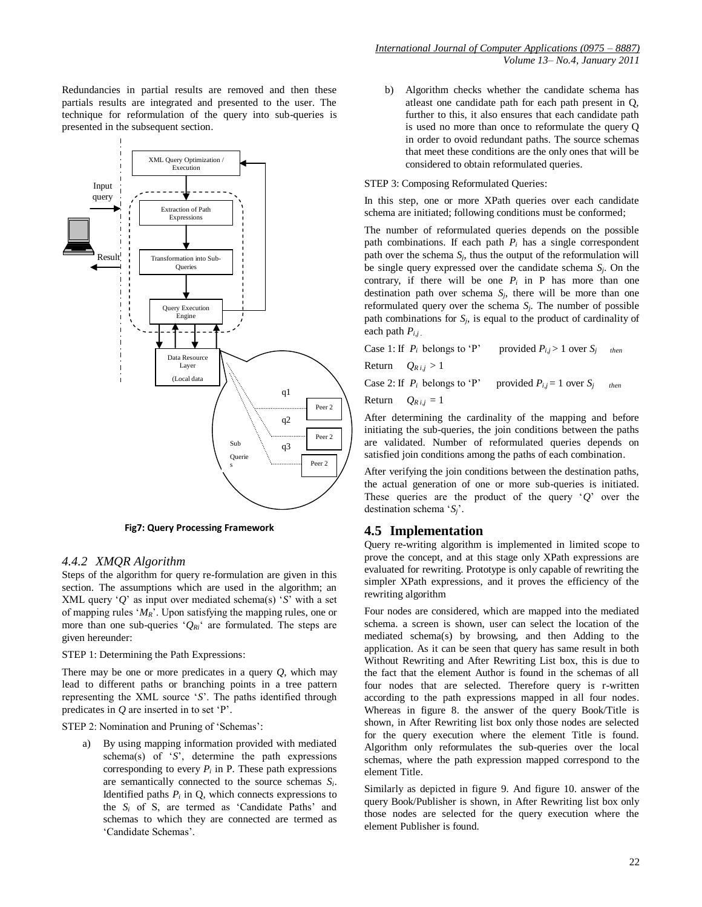Redundancies in partial results are removed and then these partials results are integrated and presented to the user. The technique for reformulation of the query into sub-queries is presented in the subsequent section.



**Fig7: Query Processing Framework**

#### *4.4.2 XMQR Algorithm*

Steps of the algorithm for query re-formulation are given in this section. The assumptions which are used in the algorithm; an XML query  $'Q'$  as input over mediated schema(s)  $'S'$  with a set of mapping rules "*MR*". Upon satisfying the mapping rules, one or more than one sub-queries  $^{\circ}O_{Ri}$  are formulated. The steps are given hereunder:

#### STEP 1: Determining the Path Expressions:

There may be one or more predicates in a query *Q*, which may lead to different paths or branching points in a tree pattern representing the XML source "*S*". The paths identified through predicates in *Q* are inserted in to set "P".

STEP 2: Nomination and Pruning of 'Schemas':

By using mapping information provided with mediated schema(s) of "*S*", determine the path expressions corresponding to every  $P_i$  in P. These path expressions are semantically connected to the source schemas *Si*. Identified paths  $P_i$  in  $Q$ , which connects expressions to the  $S_i$  of S, are termed as 'Candidate Paths' and schemas to which they are connected are termed as "Candidate Schemas".

b) Algorithm checks whether the candidate schema has atleast one candidate path for each path present in Q, further to this, it also ensures that each candidate path is used no more than once to reformulate the query Q in order to ovoid redundant paths. The source schemas that meet these conditions are the only ones that will be considered to obtain reformulated queries.

#### STEP 3: Composing Reformulated Queries:

In this step, one or more XPath queries over each candidate schema are initiated; following conditions must be conformed;

The number of reformulated queries depends on the possible path combinations. If each path  $P_i$  has a single correspondent path over the schema  $S_i$ , thus the output of the reformulation will be single query expressed over the candidate schema *Sj*. On the contrary, if there will be one  $P_i$  in P has more than one destination path over schema  $S_i$ , there will be more than one reformulated query over the schema *Sj*. The number of possible path combinations for  $S_i$ , is equal to the product of cardinality of each path  $P_{i,j}$ .

| Case 1: If $P_i$ belongs to 'P' | provided $P_{i,j} > 1$ over $S_j$ | then |
|---------------------------------|-----------------------------------|------|
|---------------------------------|-----------------------------------|------|

Return  $Q_{R i,j} > 1$ 

Case 2: If  $P_i$  belongs to 'P' provided  $P_{i,j} = 1$  over  $S_i$  then

Return  $Q_{R,i,j} = 1$ 

After determining the cardinality of the mapping and before initiating the sub-queries, the join conditions between the paths are validated. Number of reformulated queries depends on satisfied join conditions among the paths of each combination.

After verifying the join conditions between the destination paths, the actual generation of one or more sub-queries is initiated. These queries are the product of the query "*Q*" over the destination schema "*Sj*".

#### **4.5 Implementation**

Query re-writing algorithm is implemented in limited scope to prove the concept, and at this stage only XPath expressions are evaluated for rewriting. Prototype is only capable of rewriting the simpler XPath expressions, and it proves the efficiency of the rewriting algorithm

Four nodes are considered, which are mapped into the mediated schema. a screen is shown, user can select the location of the mediated schema(s) by browsing, and then Adding to the application. As it can be seen that query has same result in both Without Rewriting and After Rewriting List box, this is due to the fact that the element Author is found in the schemas of all four nodes that are selected. Therefore query is r-written according to the path expressions mapped in all four nodes. Whereas in figure 8. the answer of the query Book/Title is shown, in After Rewriting list box only those nodes are selected for the query execution where the element Title is found. Algorithm only reformulates the sub-queries over the local schemas, where the path expression mapped correspond to the element Title.

Similarly as depicted in figure 9. And figure 10. answer of the query Book/Publisher is shown, in After Rewriting list box only those nodes are selected for the query execution where the element Publisher is found.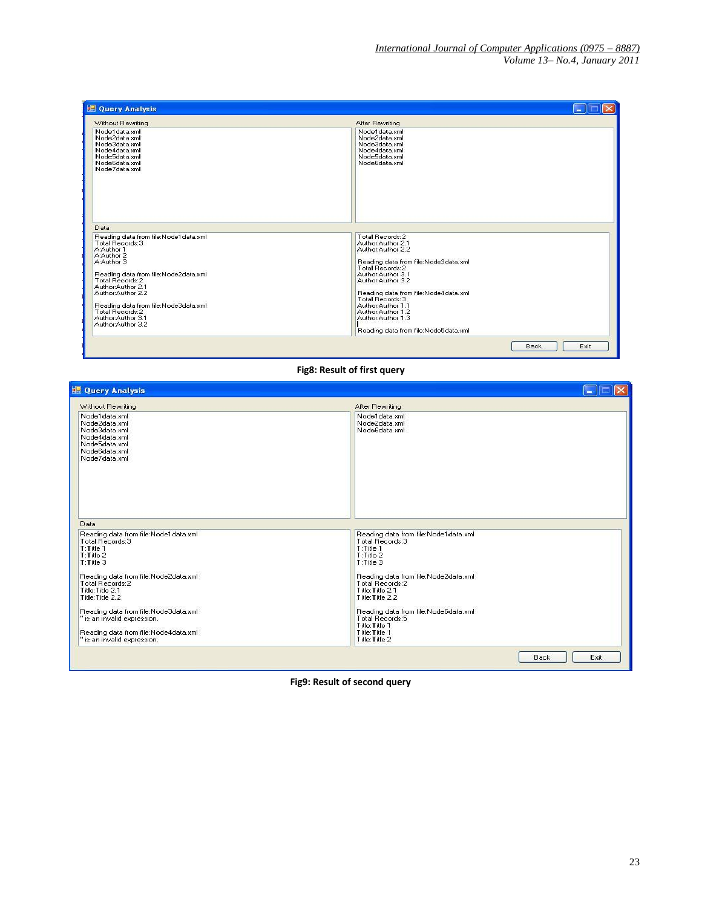| Without Rewriting                                                                                                                                                                                                                                                                                            | After Rewriting                                                                                                                                                                                                                                                                                                                     |
|--------------------------------------------------------------------------------------------------------------------------------------------------------------------------------------------------------------------------------------------------------------------------------------------------------------|-------------------------------------------------------------------------------------------------------------------------------------------------------------------------------------------------------------------------------------------------------------------------------------------------------------------------------------|
| Node1data.xml<br>Node2data.xml<br>Node3data.xml<br>Node4data.xml<br>Node5data xml<br>Node6data.xml<br>Node7data.xml                                                                                                                                                                                          | Node1data xml<br>Node2data.xml<br>Node3data.xml<br>Node4data.xml<br>Node5data xml<br>Node6data.xml                                                                                                                                                                                                                                  |
| Data                                                                                                                                                                                                                                                                                                         |                                                                                                                                                                                                                                                                                                                                     |
| Reading data from file:Node1data.xml<br>Total Records:3<br>A:Author 1<br>A:Author 2<br>A:Author 3<br>Reading data from file:Node2data.xml<br>Total Records: 2<br>Author:Author 2.1<br>Author:Author 2.2<br>Reading data from file:Node3data.xml<br>Total Records:2<br>Author:Author 3.1<br>Author:Author 3.2 | Total Records:2<br>Author:Author 2.1<br>Author: Author 2.2<br>Reading data from file:Node3data.xml<br>Total Records:2<br>Author: Author 3.1<br>Author:Author 3.2<br>Reading data from file:Node4data.xml<br>Total Records:3<br>Author: Author 1.1<br>Author:Author 1.2<br>Author:Author 1.3<br>Reading data from file:Node5data.xml |

**Fig8: Result of first query**

H

| Without Rewriting                                                                                                                           | After Rewriting                                                                                                                         |
|---------------------------------------------------------------------------------------------------------------------------------------------|-----------------------------------------------------------------------------------------------------------------------------------------|
| Node1data.xml<br>Node2data.xml<br>Node3data.xml<br>Node4data.xml<br>Node5data.xml<br>Node6data.xml<br>Node7data.xml                         | Node1 data.xml<br>Node2data.xml<br>Node6data.xml                                                                                        |
| Data                                                                                                                                        |                                                                                                                                         |
| Reading data from file:Node1data.xml<br>Total Records: 3<br>T:Title 1<br>$T$ : Title 2<br>T:Title 3<br>Reading data from file:Node2data.xml | Reading data from file:Node1data.xml<br>Total Records: 3<br>T:Title 1<br>T:Title 2<br>T:Title 3<br>Reading data from file:Node2data.xml |
| Total Records:2<br>Title: Title 2.1<br>Title: Title 2.2                                                                                     | Total Records: 2<br>Title: Title 2.1<br>Title: Title 2.2                                                                                |
| Reading data from file:Node3data.xml<br>" is an invalid expression.                                                                         | Reading data from file:Node6data.xml<br>Total Records:5<br>Title: Title 1                                                               |
| Reading data from file:Node4data.xml                                                                                                        | Title: Title 1<br>Title: Title 2                                                                                                        |

**Fig9: Result of second query**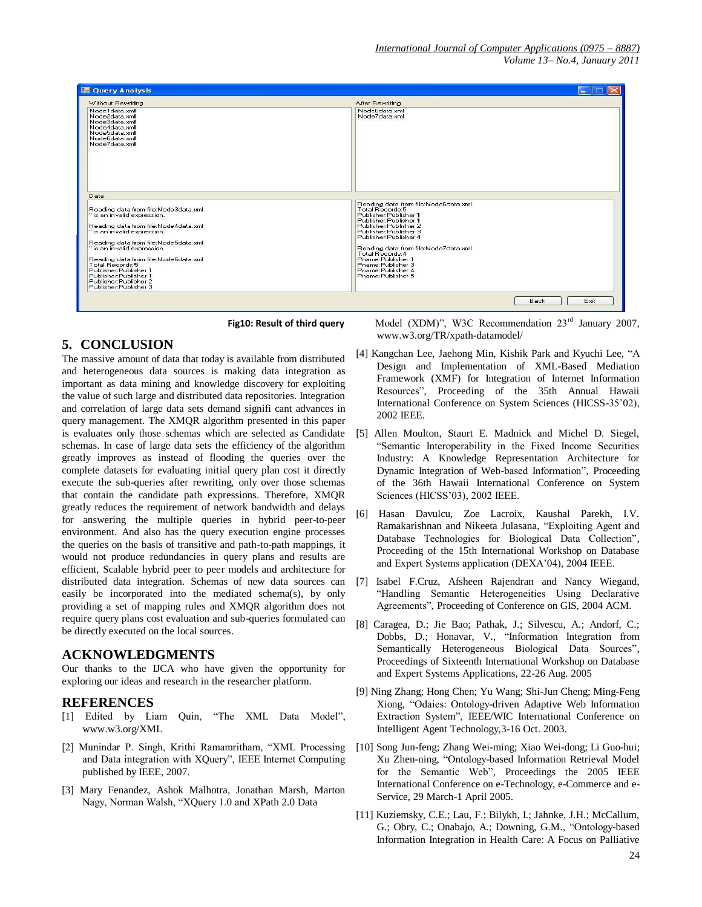

 **Fig10: Result of third query**

# **5. CONCLUSION**

The massive amount of data that today is available from distributed and heterogeneous data sources is making data integration as important as data mining and knowledge discovery for exploiting the value of such large and distributed data repositories. Integration and correlation of large data sets demand signifi cant advances in query management. The XMQR algorithm presented in this paper is evaluates only those schemas which are selected as Candidate schemas. In case of large data sets the efficiency of the algorithm greatly improves as instead of flooding the queries over the complete datasets for evaluating initial query plan cost it directly execute the sub-queries after rewriting, only over those schemas that contain the candidate path expressions. Therefore, XMQR greatly reduces the requirement of network bandwidth and delays for answering the multiple queries in hybrid peer-to-peer environment. And also has the query execution engine processes the queries on the basis of transitive and path-to-path mappings, it would not produce redundancies in query plans and results are efficient, Scalable hybrid peer to peer models and architecture for distributed data integration. Schemas of new data sources can easily be incorporated into the mediated schema(s), by only providing a set of mapping rules and XMQR algorithm does not require query plans cost evaluation and sub-queries formulated can be directly executed on the local sources.

# **ACKNOWLEDGMENTS**

Our thanks to the IJCA who have given the opportunity for exploring our ideas and research in the researcher platform.

## **REFERENCES**

- [1] Edited by Liam Quin, "The XML Data Model", www.w3.org/XML
- [2] Munindar P. Singh, Krithi Ramamritham, "XML Processing and Data integration with XQuery", IEEE Internet Computing published by IEEE, 2007.
- [3] Mary Fenandez, Ashok Malhotra, Jonathan Marsh, Marton Nagy, Norman Walsh, "XQuery 1.0 and XPath 2.0 Data

 Model (XDM)", W3C Recommendation 23rd January 2007, www.w3.org/TR/xpath-datamodel/

- [4] Kangchan Lee, Jaehong Min, Kishik Park and Kyuchi Lee, "A Design and Implementation of XML-Based Mediation Framework (XMF) for Integration of Internet Information Resources", Proceeding of the 35th Annual Hawaii International Conference on System Sciences (HICSS-35"02), 2002 IEEE.
- [5] Allen Moulton, Staurt E. Madnick and Michel D. Siegel, "Semantic Interoperability in the Fixed Income Securities Industry: A Knowledge Representation Architecture for Dynamic Integration of Web-based Information", Proceeding of the 36th Hawaii International Conference on System Sciences (HICSS"03), 2002 IEEE.
- [6] Hasan Davulcu, Zoe Lacroix, Kaushal Parekh, I.V. Ramakarishnan and Nikeeta Julasana, "Exploiting Agent and Database Technologies for Biological Data Collection", Proceeding of the 15th International Workshop on Database and Expert Systems application (DEXA'04), 2004 IEEE.
- [7] Isabel F.Cruz, Afsheen Rajendran and Nancy Wiegand, "Handling Semantic Heterogeneities Using Declarative Agreements", Proceeding of Conference on GIS, 2004 ACM.
- [8] Caragea, D.; Jie Bao; Pathak, J.; Silvescu, A.; Andorf, C.; Dobbs, D.; Honavar, V., "Information Integration from Semantically Heterogeneous Biological Data Sources", Proceedings of Sixteenth International Workshop on Database and Expert Systems Applications, 22-26 Aug. 2005
- [9] Ning Zhang; Hong Chen; Yu Wang; Shi-Jun Cheng; Ming-Feng Xiong, "Odaies: Ontology-driven Adaptive Web Information Extraction System", IEEE/WIC International Conference on Intelligent Agent Technology,3-16 Oct. 2003.
- [10] Song Jun-feng; Zhang Wei-ming; Xiao Wei-dong; Li Guo-hui; Xu Zhen-ning, "Ontology-based Information Retrieval Model for the Semantic Web", Proceedings the 2005 IEEE International Conference on e-Technology, e-Commerce and e-Service, 29 March-1 April 2005.
- [11] Kuziemsky, C.E.; Lau, F.; Bilykh, I.; Jahnke, J.H.; McCallum, G.; Obry, C.; Onabajo, A.; Downing, G.M., "Ontology-based Information Integration in Health Care: A Focus on Palliative